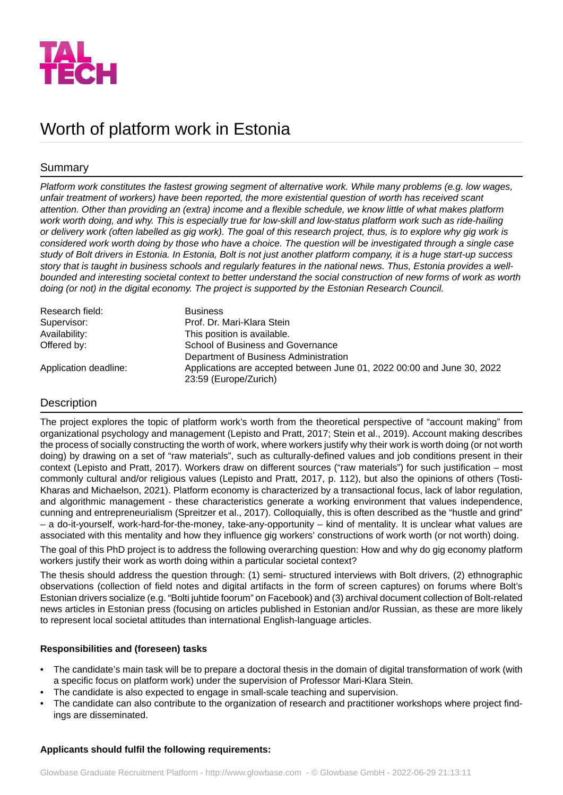

# Worth of platform work in Estonia

# Summary

*Platform work constitutes the fastest growing segment of alternative work. While many problems (e.g. low wages, unfair treatment of workers) have been reported, the more existential question of worth has received scant attention. Other than providing an (extra) income and a flexible schedule, we know little of what makes platform* work worth doing, and why. This is especially true for low-skill and low-status platform work such as ride-hailing *or delivery work (often labelled as gig work). The goal of this research project, thus, is to explore why gig work is considered work worth doing by those who have a choice. The question will be investigated through a single case* study of Bolt drivers in Estonia. In Estonia, Bolt is not just another platform company, it is a huge start-up success *story that is taught in business schools and regularly features in the national news. Thus, Estonia provides a wellbounded and interesting societal context to better understand the social construction of new forms of work as worth doing (or not) in the digital economy. The project is supported by the Estonian Research Council.*

| Research field:       | <b>Business</b>                                                         |
|-----------------------|-------------------------------------------------------------------------|
| Supervisor:           | Prof. Dr. Mari-Klara Stein                                              |
| Availability:         | This position is available.                                             |
| Offered by:           | School of Business and Governance                                       |
|                       | Department of Business Administration                                   |
| Application deadline: | Applications are accepted between June 01, 2022 00:00 and June 30, 2022 |
|                       | 23:59 (Europe/Zurich)                                                   |

# **Description**

The project explores the topic of platform work's worth from the theoretical perspective of "account making" from organizational psychology and management (Lepisto and Pratt, 2017; Stein et al., 2019). Account making describes the process of socially constructing the worth of work, where workers justify why their work is worth doing (or not worth doing) by drawing on a set of "raw materials", such as culturally-defined values and job conditions present in their context (Lepisto and Pratt, 2017). Workers draw on different sources ("raw materials") for such justification – most commonly cultural and/or religious values (Lepisto and Pratt, 2017, p. 112), but also the opinions of others (Tosti-Kharas and Michaelson, 2021). Platform economy is characterized by a transactional focus, lack of labor regulation, and algorithmic management - these characteristics generate a working environment that values independence, cunning and entrepreneurialism (Spreitzer et al., 2017). Colloquially, this is often described as the "hustle and grind" – a do-it-yourself, work-hard-for-the-money, take-any-opportunity – kind of mentality. It is unclear what values are associated with this mentality and how they influence gig workers' constructions of work worth (or not worth) doing.

The goal of this PhD project is to address the following overarching question: How and why do gig economy platform workers justify their work as worth doing within a particular societal context?

The thesis should address the question through: (1) semi- structured interviews with Bolt drivers, (2) ethnographic observations (collection of field notes and digital artifacts in the form of screen captures) on forums where Bolt's Estonian drivers socialize (e.g. "Bolti juhtide foorum" on Facebook) and (3) archival document collection of Bolt-related news articles in Estonian press (focusing on articles published in Estonian and/or Russian, as these are more likely to represent local societal attitudes than international English-language articles.

# **Responsibilities and (foreseen) tasks**

- The candidate's main task will be to prepare a doctoral thesis in the domain of digital transformation of work (with a specific focus on platform work) under the supervision of Professor Mari-Klara Stein.
- The candidate is also expected to engage in small-scale teaching and supervision.
- The candidate can also contribute to the organization of research and practitioner workshops where project findings are disseminated.

# **Applicants should fulfil the following requirements:**